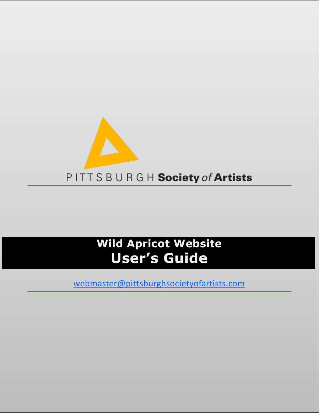

# **Wild Apricot Website User's Guide**

[webmaster@pittsburghsocietyofartists.com](mailto:webmaster@pittsburghsocietyofartists.com)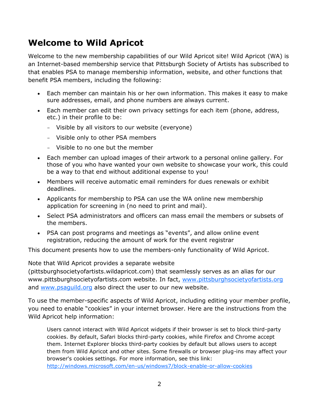# <span id="page-2-0"></span>**Welcome to Wild Apricot**

Welcome to the new membership capabilities of our Wild Apricot site! Wild Apricot (WA) is an Internet-based membership service that Pittsburgh Society of Artists has subscribed to that enables PSA to manage membership information, website, and other functions that benefit PSA members, including the following:

- Each member can maintain his or her own information. This makes it easy to make sure addresses, email, and phone numbers are always current.
- Each member can edit their own privacy settings for each item (phone, address, etc.) in their profile to be:
	- Visible by all visitors to our website (everyone)
	- Visible only to other PSA members
	- Visible to no one but the member
- Each member can upload images of their artwork to a personal online gallery. For those of you who have wanted your own website to showcase your work, this could be a way to that end without additional expense to you!
- Members will receive automatic email reminders for dues renewals or exhibit deadlines.
- Applicants for membership to PSA can use the WA online new membership application for screening in (no need to print and mail).
- Select PSA administrators and officers can mass email the members or subsets of the members.
- PSA can post programs and meetings as "events", and allow online event registration, reducing the amount of work for the event registrar

This document presents how to use the members-only functionality of Wild Apricot.

Note that Wild Apricot provides a separate website

(pittsburghsocietyofartists.wildapricot.com) that seamlessly serves as an alias for our www.pittsburghsocietyofartists.com website. In fact, [www.pittsburghsocietyofartists.org](http://www.pittsburghsocietyofartists.org/) and [www.psaguild.org](http://www.psaguild.org/) also direct the user to our new website.

To use the member-specific aspects of Wild Apricot, including editing your member profile, you need to enable "cookies" in your internet browser. Here are the instructions from the Wild Apricot help information:

Users cannot interact with Wild Apricot widgets if their browser is set to block third-party cookies. By default, Safari blocks third-party cookies, while Firefox and Chrome accept them. Internet Explorer blocks third-party cookies by default but allows users to accept them from Wild Apricot and other sites. Some firewalls or browser plug-ins may affect your browser's cookies settings. For more information, see this link: <http://windows.microsoft.com/en-us/windows7/block-enable-or-allow-cookies>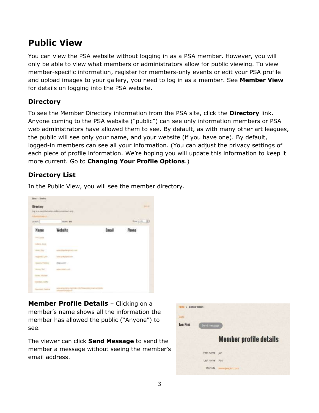# <span id="page-3-0"></span>**Public View**

You can view the PSA website without logging in as a PSA member. However, you will only be able to view what members or administrators allow for public viewing. To view member-specific information, register for members-only events or edit your PSA profile and upload images to your gallery, you need to log in as a member. See **Member View** for details on logging into the PSA website.

#### <span id="page-3-1"></span>**Directory**

To see the Member Directory information from the PSA site, click the **Directory** link. Anyone coming to the PSA website ("public") can see only information members or PSA web administrators have allowed them to see. By default, as with many other art leagues, the public will see only your name, and your website (if you have one). By default, logged-in members can see all your information. (You can adjust the privacy settings of each piece of profile information. We're hoping you will update this information to keep it more current. Go to **Changing Your Profile Options**.)

## <span id="page-3-2"></span>**Directory List**

In the Public View, you will see the member directory.

| ALT DATA LES<br>Note + Blueberg<br><b>Una dia langki</b><br><b>Directory</b><br>Lig onto the information and let a mental to any.<br>Automobile Legal Ltd. |                                                                     |       | <b>Diffuse</b>   |
|------------------------------------------------------------------------------------------------------------------------------------------------------------|---------------------------------------------------------------------|-------|------------------|
| Tare(9)                                                                                                                                                    | Page 397                                                            |       | <b>MARKETING</b> |
| Name<br>つきそう                                                                                                                                               | Website                                                             | Email | Phone            |
| <b>PARTICIPATE</b>                                                                                                                                         |                                                                     |       |                  |
| Auberts, Aircraft                                                                                                                                          |                                                                     |       |                  |
| mini, Ing.                                                                                                                                                 | with Hawler protozon.                                               |       |                  |
| Winnie Live                                                                                                                                                | which at the control                                                |       |                  |
| Appeals Foreign                                                                                                                                            | ITIBILLION                                                          |       |                  |
| <b>Purest Wall</b>                                                                                                                                         | <b>WELL-WATER</b>                                                   |       |                  |
| liams, Highest                                                                                                                                             |                                                                     |       |                  |
| Baratiya Carta                                                                                                                                             |                                                                     |       |                  |
| <b>Barefold, Parktist</b>                                                                                                                                  | www.etpress.org/color/0075/approvementation<br>presentation approve |       |                  |

<span id="page-3-3"></span>**Member Profile Details** - Clicking on a member's name shows all the information the member has allowed the public ("Anyone") to see.

The viewer can click **Send Message** to send the member a message without seeing the member's email address.

| Hume > Member details |                |                               |
|-----------------------|----------------|-------------------------------|
| Back                  |                |                               |
| Jan Pini              | Send message   |                               |
|                       |                | <b>Member profile details</b> |
|                       | First name     | Tan                           |
|                       | Last name Pini |                               |
|                       | Website        | www.janpini.com               |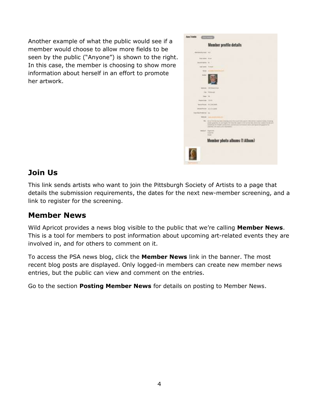Another example of what the public would see if a member would choose to allow more fields to be seen by the public ("Anyone") is shown to the right. In this case, the member is choosing to show more information about herself in an effort to promote her artwork.



## <span id="page-4-0"></span>**Join Us**

This link sends artists who want to join the Pittsburgh Society of Artists to a page that details the submission requirements, the dates for the next new-member screening, and a link to register for the screening.

## <span id="page-4-1"></span>**Member News**

Wild Apricot provides a news blog visible to the public that we're calling **Member News**. This is a tool for members to post information about upcoming art-related events they are involved in, and for others to comment on it.

To access the PSA news blog, click the **Member News** link in the banner. The most recent blog posts are displayed. Only logged-in members can create new member news entries, but the public can view and comment on the entries.

Go to the section **Posting Member News** for details on posting to Member News.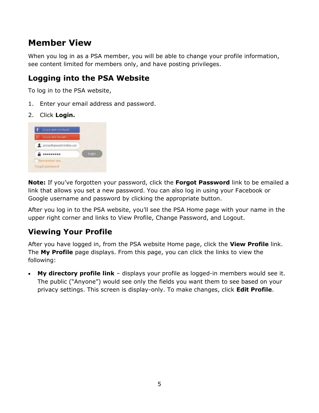# <span id="page-5-0"></span>**Member View**

When you log in as a PSA member, you will be able to change your profile information, see content limited for members only, and have posting privileges.

## <span id="page-5-1"></span>**Logging into the PSA Website**

To log in to the PSA website,

- 1. Enter your email address and password.
- 2. Click **Login.**



**Note:** If you've forgotten your password, click the **Forgot Password** link to be emailed a link that allows you set a new password. You can also log in using your Facebook or Google username and password by clicking the appropriate button.

After you log in to the PSA website, you'll see the PSA Home page with your name in the upper right corner and links to View Profile, Change Password, and Logout.

## <span id="page-5-2"></span>**Viewing Your Profile**

After you have logged in, from the PSA website Home page, click the **View Profile** link. The **My Profile** page displays. From this page, you can click the links to view the following:

 **My directory profile link** – displays your profile as logged-in members would see it. The public ("Anyone") would see only the fields you want them to see based on your privacy settings. This screen is display-only. To make changes, click **Edit Profile**.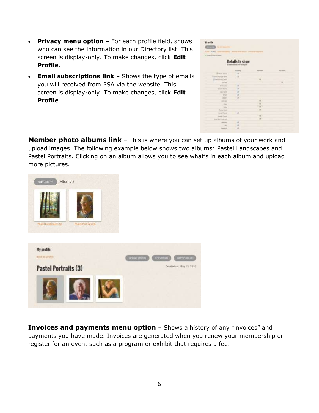- **Privacy menu option** For each profile field, shows who can see the information in our Directory list. This screen is display-only. To make changes, click **Edit Profile**.
- **Email subscriptions link** Shows the type of emails you will received from PSA via the website. This screen is display-only. To make changes, click **Edit Profile**.

| <b>C. State professor defense</b>               |                                           |                  |                 |
|-------------------------------------------------|-------------------------------------------|------------------|-----------------|
|                                                 | <b>Details to show</b><br>teasure the art |                  |                 |
|                                                 | 写                                         | <b>Statement</b> | <b>TELGHING</b> |
| <b>BETWEEN ARRANGE</b>                          |                                           |                  |                 |
| tend micrography<br>٠                           |                                           |                  |                 |
| Al Shi<br>personal large<br>.<br><b>E Phone</b> |                                           |                  |                 |
| <b>COMPANY</b>                                  |                                           |                  |                 |
| <b>Parameters</b>                               | ٠                                         |                  |                 |
| <b>WINDS BARK</b>                               |                                           |                  |                 |
| <b>UNITED</b>                                   | ٠                                         |                  |                 |
| <b>STAR</b>                                     | ٠                                         |                  |                 |
| ARE                                             | ÷                                         |                  |                 |
| Appear                                          |                                           | $\frac{1}{2}$    |                 |
| Tille<br>a sa                                   |                                           |                  |                 |
| <b>Single</b>                                   |                                           | $\frac{1}{2}$    |                 |
| <b>Rater Cold</b>                               |                                           | ×                |                 |
| <b>Americans</b>                                | ٠                                         |                  |                 |
| and Chart<br>2022                               |                                           | ×                |                 |
| <b>SAFEKEEPS</b><br>-                           |                                           |                  |                 |
| <b>Associate</b><br><b>The Contract</b>         | ٠                                         |                  |                 |
| $\sim$                                          | ٠                                         |                  |                 |
| <b>BAGGS</b>                                    | ٠                                         |                  |                 |

<span id="page-6-0"></span>**Member photo albums link** – This is where you can set up albums of your work and upload images. The following example below shows two albums: Pastel Landscapes and Pastel Portraits. Clicking on an album allows you to see what's in each album and upload more pictures.



<span id="page-6-1"></span>**Invoices and payments menu option** – Shows a history of any "invoices" and payments you have made. Invoices are generated when you renew your membership or register for an event such as a program or exhibit that requires a fee.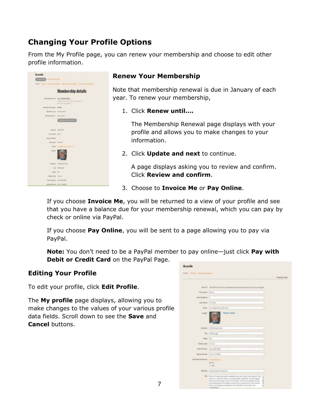# <span id="page-7-0"></span>**Changing Your Profile Options**

From the My Profile page, you can renew your membership and choose to edit other profile information.



#### <span id="page-7-1"></span>**Renew Your Membership**

Note that membership renewal is due in January of each year. To renew your membership,

1. Click **Renew until….**

The Membership Renewal page displays with your profile and allows you to make changes to your information.

2. Click **Update and next** to continue.

A page displays asking you to review and confirm. Click **Review and confirm**.

3. Choose to **Invoice Me** or **Pay Online**.

If you choose **Invoice Me**, you will be returned to a view of your profile and see that you have a balance due for your membership renewal, which you can pay by check or online via PayPal.

If you choose **Pay Online**, you will be sent to a page allowing you to pay via PayPal.

**Note:** You don't need to be a PayPal member to pay online—just click **Pay with Debit or Credit Card** on the PayPal Page.

#### <span id="page-7-2"></span>**Editing Your Profile**

To edit your profile, click **Edit Profile**.

The **My profile** page displays, allowing you to make changes to the values of your various profile data fields. Scroll down to see the **Save** and **Cancel** buttons.

|                                |                                                                                                                                                      | - |
|--------------------------------|------------------------------------------------------------------------------------------------------------------------------------------------------|---|
|                                |                                                                                                                                                      |   |
| 1.6 de l. Elli                 | SIZESETAT Title Teksi is generated as domesticity and several be id-arged<br>the contract of the contract and                                        |   |
| First Lane                     | <b>Literature</b>                                                                                                                                    |   |
| <b>Internal Starre</b>         |                                                                                                                                                      |   |
| Lee rank                       | <b>Times</b>                                                                                                                                         |   |
|                                |                                                                                                                                                      |   |
| <b>Syked</b>                   | are will are six in ting sum.                                                                                                                        |   |
| <b>BUMM</b>                    | <b>TOUR ELEVANT</b>                                                                                                                                  |   |
| 8011411                        | 200 Elizard Bull                                                                                                                                     |   |
| <b>CN</b>                      | <b>Hittings</b>                                                                                                                                      |   |
|                                |                                                                                                                                                      |   |
| 19494                          | <b>Ing</b>                                                                                                                                           |   |
| Folde Celle                    | <b>TESTE</b>                                                                                                                                         |   |
|                                |                                                                                                                                                      |   |
| <b>Home Frence</b>             | AT 2 SAILINGS                                                                                                                                        |   |
| <b>Motor Power</b>             | <b>ATT STERNAK</b>                                                                                                                                   |   |
| <b>Break Mail Freiher Heil</b> |                                                                                                                                                      |   |
|                                | <b># 100</b>                                                                                                                                         |   |
|                                | 0.44                                                                                                                                                 |   |
| <b>Right Ave</b>               | Assess Anthaltic Model Light                                                                                                                         |   |
| Ru-                            |                                                                                                                                                      |   |
|                                | Arms Venture has known dreaming seem are could incide a paintil. You<br>buts in an adopting storage, instanting plaster, grounded, and what stights. |   |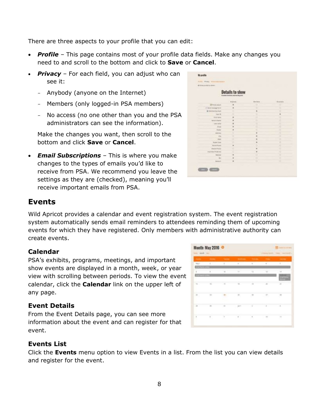There are three aspects to your profile that you can edit:

- *Profile* This page contains most of your profile data fields. Make any changes you need to and scroll to the bottom and click to **Save** or **Cancel**.
- *Privacy* For each field, you can adjust who can see it:
	- Anybody (anyone on the Internet)
	- Members (only logged-in PSA members)
	- No access (no one other than you and the PSA administrators can see the information).

Make the changes you want, then scroll to the bottom and click **Save** or **Cancel**.

 *Email Subscriptions* – This is where you make changes to the types of emails you'd like to receive from PSA. We recommend you leave the settings as they are (checked), meaning you'll receive important emails from PSA.

| all investors to others.                        |                                                                       |           |                  |
|-------------------------------------------------|-----------------------------------------------------------------------|-----------|------------------|
|                                                 | <b>Details to show</b><br>inventory strengths and pay and this public |           |                  |
|                                                 | <b>KIGHTE</b>                                                         | Marinesi: | <b>Borgerman</b> |
| 12 Monday and parties                           | ٠                                                                     |           |                  |
| 17 West Annual Ave.                             | ٠                                                                     | ٠         | ٠                |
| <b>E</b> International age bands                | ٠                                                                     |           | ٠                |
| <b>Tour AV</b>                                  | ٠                                                                     | ٠         | ×                |
| <b>Exit land</b>                                | $\blacksquare$                                                        | ٠         | ٠                |
| <b>Science &amp; Alberta</b>                    | ٠                                                                     | c         | ×                |
| Thank more                                      | ٠<br>٠                                                                | ٠         | ٠                |
| 1 Aliver                                        | $\frac{1}{2}$<br>-                                                    | ٠         | ×                |
| <b>Scale</b>                                    | ٠                                                                     | τ         | π                |
| Address                                         | ë                                                                     | ٠<br>×.   | ×                |
| $-104$                                          | ٠                                                                     | ٠<br>--   | ٠                |
| <b>SCALE</b>                                    | ë                                                                     | ٠         | š                |
| <b><i><u><u><b>Diskul Turns</b></u></u></i></b> | 3<br>٠                                                                | ٠         |                  |
| <b>Borne &amp; Ingeles</b>                      | $\blacksquare$                                                        |           | 8                |
| <b>Kissing Pinding</b>                          | ë                                                                     | ٠         | ×                |
| that that Protector                             | ś                                                                     | ٠         |                  |
| <b>BARTER</b>                                   | $\blacksquare$                                                        | σ         |                  |
| in a                                            | $\overline{a}$                                                        | c         | π                |
| <b>Blue Guard</b>                               | $\blacksquare$                                                        |           |                  |
| <b>STAR</b><br>.                                | ×<br>۰                                                                | È         | 3                |

### <span id="page-8-0"></span>**Events**

Wild Apricot provides a calendar and event registration system. The event registration system automatically sends email reminders to attendees reminding them of upcoming events for which they have registered. Only members with administrative authority can create events.

#### <span id="page-8-1"></span>**Calendar**

PSA's exhibits, programs, meetings, and important show events are displayed in a month, week, or year view with scrolling between periods. To view the event calendar, click the **Calendar** link on the upper left of any page.

#### <span id="page-8-2"></span>**Event Details**

From the Event Details page, you can see more information about the event and can register for that event.

#### <span id="page-8-3"></span>**Events List**

Click the **Events** menu option to view Events in a list. From the list you can view details and register for the event.

|                                                  |                   | Sales - Bank - Sales - Sales - Bank - Sales - Sales - Sales - Sales - Sales |              |               |                 |              |
|--------------------------------------------------|-------------------|-----------------------------------------------------------------------------|--------------|---------------|-----------------|--------------|
| <b>MAPT</b>                                      | ×                 | the contract of the contract of the contract of                             |              |               |                 |              |
| ×                                                | ٠                 |                                                                             | HF.          | <b>Ha</b>     | u.              | ы            |
|                                                  | 16                | ш                                                                           | TE L'        | $\frac{1}{2}$ | 77. JE          | и            |
| 哥川                                               | 331<br>æ          | $\mathcal{M}_\mathrm{c}$                                                    | 所            | <b>H</b>      | 计规则             | 1.88<br>œ    |
| $\mathbb{R}$                                     | ici.              | $-184$                                                                      | 321          | ٠             |                 | 14           |
| $\begin{array}{c} \phantom{-} \end{array}$<br>,, | $\mathbb{R}$<br>ы | $\sim$<br>m                                                                 | $\mathbb{R}$ | 思             | 10 <sup>1</sup> | $\mathbb{H}$ |